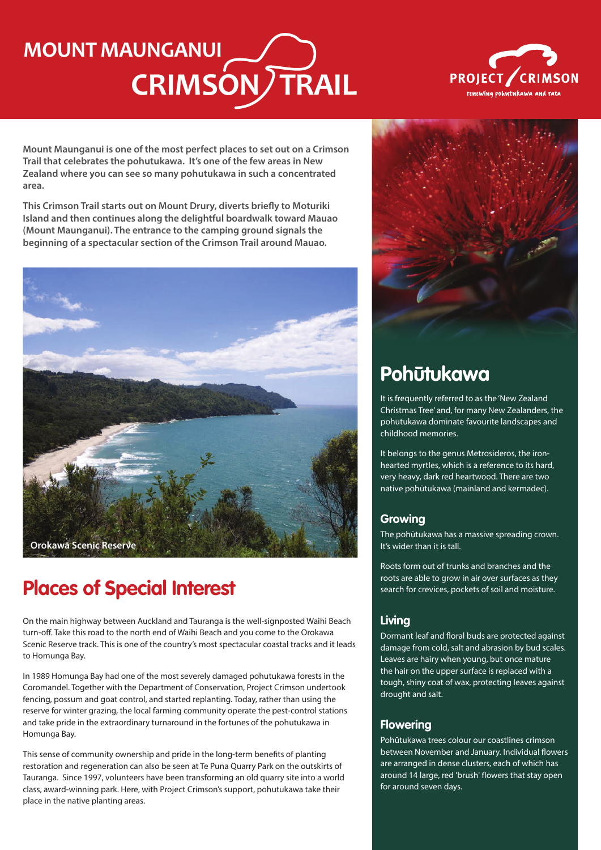# **CRIMSON TRAIL MOUNT MAUNGANUI**



**Mount Maunganui is one of the most perfect places to set out on a Crimson Trail that celebrates the pohutukawa. It's one of the few areas in New Zealand where you can see so many pohutukawa in such a concentrated area.**

**This Crimson Trail starts out on Mount Drury, diverts briefly to Moturiki Island and then continues along the delightful boardwalk toward Mauao (Mount Maunganui). The entrance to the camping ground signals the beginning of a spectacular section of the Crimson Trail around Mauao.**



## **Places of Special Interest**

On the main highway between Auckland and Tauranga is the well-signposted Waihi Beach turn-off. Take this road to the north end of Waihi Beach and you come to the Orokawa Scenic Reserve track. This is one of the country's most spectacular coastal tracks and it leads to Homunga Bay.

In 1989 Homunga Bay had one of the most severely damaged pohutukawa forests in the Coromandel. Together with the Department of Conservation, Project Crimson undertook fencing, possum and goat control, and started replanting. Today, rather than using the reserve for winter grazing, the local farming community operate the pest-control stations and take pride in the extraordinary turnaround in the fortunes of the pohutukawa in Homunga Bay.

This sense of community ownership and pride in the long-term benefits of planting restoration and regeneration can also be seen at Te Puna Quarry Park on the outskirts of Tauranga. Since 1997, volunteers have been transforming an old quarry site into a world class, award-winning park. Here, with Project Crimson's support, pohutukawa take their place in the native planting areas.



## **Pohūtukawa**

It is frequently referred to as the 'New Zealand Christmas Tree' and, for many New Zealanders, the pohūtukawa dominate favourite landscapes and childhood memories.

It belongs to the genus Metrosideros, the ironhearted myrtles, which is a reference to its hard, very heavy, dark red heartwood. There are two native pohūtukawa (mainland and kermadec).

#### **Growing**

The pohūtukawa has a massive spreading crown. It's wider than it is tall.

Roots form out of trunks and branches and the roots are able to grow in air over surfaces as they search for crevices, pockets of soil and moisture.

#### **Living**

Dormant leaf and floral buds are protected against damage from cold, salt and abrasion by bud scales. Leaves are hairy when young, but once mature the hair on the upper surface is replaced with a tough, shiny coat of wax, protecting leaves against drought and salt.

#### **Flowering**

Pohūtukawa trees colour our coastlines crimson between November and January. Individual flowers are arranged in dense clusters, each of which has around 14 large, red 'brush' flowers that stay open for around seven days.